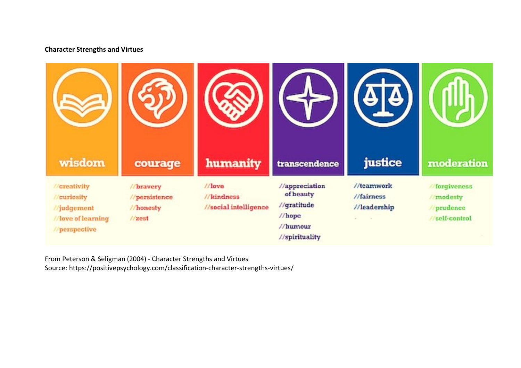## **Character Strengths and Virtues**



From Peterson & Seligman (2004) - Character Strengths and Virtues

Source: https://positivepsychology.com/classification-character-strengths-virtues/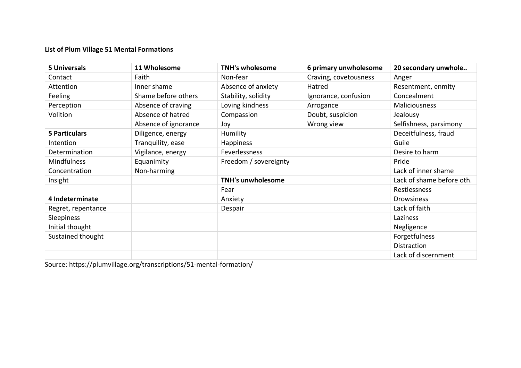## **List of Plum Village 51 Mental Formations**

| <b>5 Universals</b>  | 11 Wholesome         | <b>TNH's wholesome</b>   | 6 primary unwholesome | 20 secondary unwhole      |
|----------------------|----------------------|--------------------------|-----------------------|---------------------------|
| Contact              | Faith                | Non-fear                 | Craving, covetousness | Anger                     |
| Attention            | Inner shame          | Absence of anxiety       | Hatred                | Resentment, enmity        |
| Feeling              | Shame before others  | Stability, solidity      | Ignorance, confusion  | Concealment               |
| Perception           | Absence of craving   | Loving kindness          | Arrogance             | <b>Maliciousness</b>      |
| Volition             | Absence of hatred    | Compassion               | Doubt, suspicion      | Jealousy                  |
|                      | Absence of ignorance | Joy                      | Wrong view            | Selfishness, parsimony    |
| <b>5 Particulars</b> | Diligence, energy    | Humility                 |                       | Deceitfulness, fraud      |
| Intention            | Tranquility, ease    | Happiness                |                       | Guile                     |
| Determination        | Vigilance, energy    | Feverlessness            |                       | Desire to harm            |
| Mindfulness          | Equanimity           | Freedom / sovereignty    |                       | Pride                     |
| Concentration        | Non-harming          |                          |                       | Lack of inner shame       |
| Insight              |                      | <b>TNH's unwholesome</b> |                       | Lack of shame before oth. |
|                      |                      | Fear                     |                       | Restlessness              |
| 4 Indeterminate      |                      | Anxiety                  |                       | <b>Drowsiness</b>         |
| Regret, repentance   |                      | Despair                  |                       | Lack of faith             |
| Sleepiness           |                      |                          |                       | Laziness                  |
| Initial thought      |                      |                          |                       | Negligence                |
| Sustained thought    |                      |                          |                       | Forgetfulness             |
|                      |                      |                          |                       | Distraction               |
|                      |                      |                          |                       | Lack of discernment       |

Source: https://plumvillage.org/transcriptions/51-mental-formation/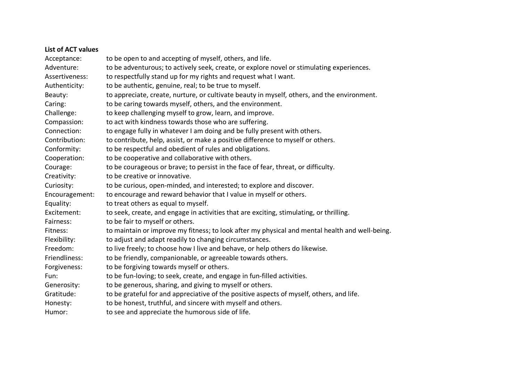## **List of ACT values**

| Acceptance:    | to be open to and accepting of myself, others, and life.                                       |  |  |
|----------------|------------------------------------------------------------------------------------------------|--|--|
| Adventure:     | to be adventurous; to actively seek, create, or explore novel or stimulating experiences.      |  |  |
| Assertiveness: | to respectfully stand up for my rights and request what I want.                                |  |  |
| Authenticity:  | to be authentic, genuine, real; to be true to myself.                                          |  |  |
| Beauty:        | to appreciate, create, nurture, or cultivate beauty in myself, others, and the environment.    |  |  |
| Caring:        | to be caring towards myself, others, and the environment.                                      |  |  |
| Challenge:     | to keep challenging myself to grow, learn, and improve.                                        |  |  |
| Compassion:    | to act with kindness towards those who are suffering.                                          |  |  |
| Connection:    | to engage fully in whatever I am doing and be fully present with others.                       |  |  |
| Contribution:  | to contribute, help, assist, or make a positive difference to myself or others.                |  |  |
| Conformity:    | to be respectful and obedient of rules and obligations.                                        |  |  |
| Cooperation:   | to be cooperative and collaborative with others.                                               |  |  |
| Courage:       | to be courageous or brave; to persist in the face of fear, threat, or difficulty.              |  |  |
| Creativity:    | to be creative or innovative.                                                                  |  |  |
| Curiosity:     | to be curious, open-minded, and interested; to explore and discover.                           |  |  |
| Encouragement: | to encourage and reward behavior that I value in myself or others.                             |  |  |
| Equality:      | to treat others as equal to myself.                                                            |  |  |
| Excitement:    | to seek, create, and engage in activities that are exciting, stimulating, or thrilling.        |  |  |
| Fairness:      | to be fair to myself or others.                                                                |  |  |
| Fitness:       | to maintain or improve my fitness; to look after my physical and mental health and well-being. |  |  |
| Flexibility:   | to adjust and adapt readily to changing circumstances.                                         |  |  |
| Freedom:       | to live freely; to choose how I live and behave, or help others do likewise.                   |  |  |
| Friendliness:  | to be friendly, companionable, or agreeable towards others.                                    |  |  |
| Forgiveness:   | to be forgiving towards myself or others.                                                      |  |  |
| Fun:           | to be fun-loving; to seek, create, and engage in fun-filled activities.                        |  |  |
| Generosity:    | to be generous, sharing, and giving to myself or others.                                       |  |  |
| Gratitude:     | to be grateful for and appreciative of the positive aspects of myself, others, and life.       |  |  |
| Honesty:       | to be honest, truthful, and sincere with myself and others.                                    |  |  |
| Humor:         | to see and appreciate the humorous side of life.                                               |  |  |